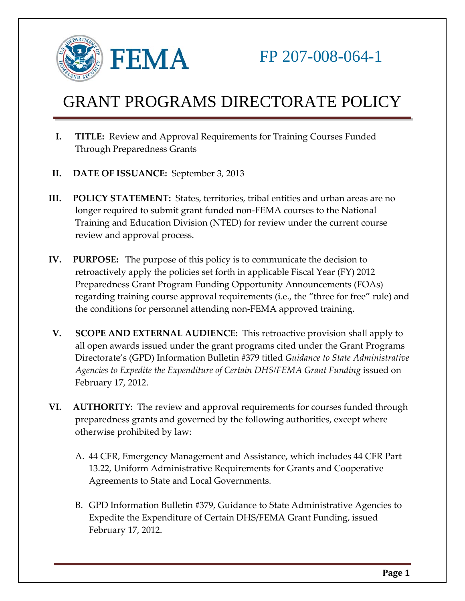

- **I. TITLE:** Review and Approval Requirements for Training Courses Funded Through Preparedness Grants
- **II. DATE OF ISSUANCE:** September 3, 2013
- **III. POLICY STATEMENT:** States, territories, tribal entities and urban areas are no longer required to submit grant funded non-FEMA courses to the National Training and Education Division (NTED) for review under the current course review and approval process.
- **IV. PURPOSE:** The purpose of this policy is to communicate the decision to retroactively apply the policies set forth in applicable Fiscal Year (FY) 2012 Preparedness Grant Program Funding Opportunity Announcements (FOAs) regarding training course approval requirements (i.e., the "three for free" rule) and the conditions for personnel attending non-FEMA approved training.
- **V. SCOPE AND EXTERNAL AUDIENCE:** This retroactive provision shall apply to all open awards issued under the grant programs cited under the Grant Programs Directorate's (GPD) Information Bulletin #379 titled *Guidance to State Administrative Agencies to Expedite the Expenditure of Certain DHS/FEMA Grant Funding* issued on February 17, 2012.
- **VI. AUTHORITY:** The review and approval requirements for courses funded through preparedness grants and governed by the following authorities, except where otherwise prohibited by law:
	- A. 44 CFR, Emergency Management and Assistance, which includes 44 CFR Part 13.22, Uniform Administrative Requirements for Grants and Cooperative Agreements to State and Local Governments.
	- B. GPD Information Bulletin #379, Guidance to State Administrative Agencies to Expedite the Expenditure of Certain DHS/FEMA Grant Funding, issued February 17, 2012.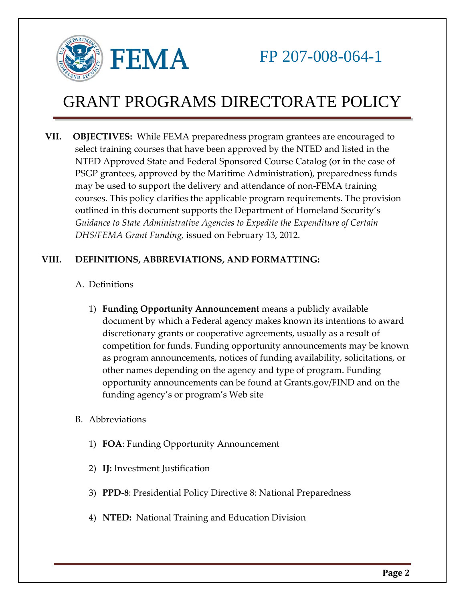

**VII. OBJECTIVES:** While FEMA preparedness program grantees are encouraged to select training courses that have been approved by the NTED and listed in the NTED Approved State and Federal Sponsored Course Catalog (or in the case of PSGP grantees, approved by the Maritime Administration), preparedness funds may be used to support the delivery and attendance of non-FEMA training courses. This policy clarifies the applicable program requirements. The provision outlined in this document supports the Department of Homeland Security's *Guidance to State Administrative Agencies to Expedite the Expenditure of Certain DHS/FEMA Grant Funding,* issued on February 13, 2012.

## **VIII. DEFINITIONS, ABBREVIATIONS, AND FORMATTING:**

- A. Definitions
	- 1) **Funding Opportunity Announcement** means a publicly available document by which a Federal agency makes known its intentions to award discretionary grants or cooperative agreements, usually as a result of competition for funds. Funding opportunity announcements may be known as program announcements, notices of funding availability, solicitations, or other names depending on the agency and type of program. Funding opportunity announcements can be found at Grants.gov/FIND and on the funding agency's or program's Web site
- B. Abbreviations
	- 1) **FOA**: Funding Opportunity Announcement
	- 2) **IJ:** Investment Justification
	- 3) **PPD-8**: Presidential Policy Directive 8: National Preparedness
	- 4) **NTED:** National Training and Education Division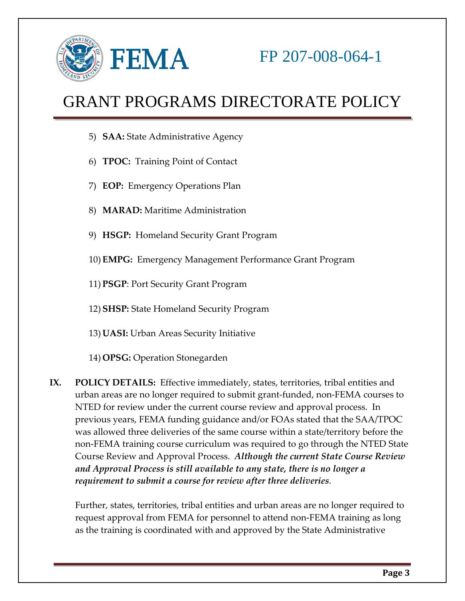

- 5) **SAA:** State Administrative Agency
- 6) **TPOC:** Training Point of Contact
- 7) **EOP:** Emergency Operations Plan
- 8) **MARAD:** Maritime Administration
- 9) **HSGP:** Homeland Security Grant Program
- 10) **EMPG:** Emergency Management Performance Grant Program
- 11) **PSGP**: Port Security Grant Program
- 12) **SHSP:** State Homeland Security Program
- 13) **UASI:** Urban Areas Security Initiative
- 14) **OPSG:** Operation Stonegarden
- **IX. POLICY DETAILS:** Effective immediately, states, territories, tribal entities and urban areas are no longer required to submit grant-funded, non-FEMA courses to NTED for review under the current course review and approval process. In previous years, FEMA funding guidance and/or FOAs stated that the SAA/TPOC was allowed three deliveries of the same course within a state/territory before the non-FEMA training course curriculum was required to go through the NTED State Course Review and Approval Process. *Although the current State Course Review and Approval Process is still available to any state, there is no longer a requirement to submit a course for review after three deliveries*.

Further, states, territories, tribal entities and urban areas are no longer required to request approval from FEMA for personnel to attend non-FEMA training as long as the training is coordinated with and approved by the State Administrative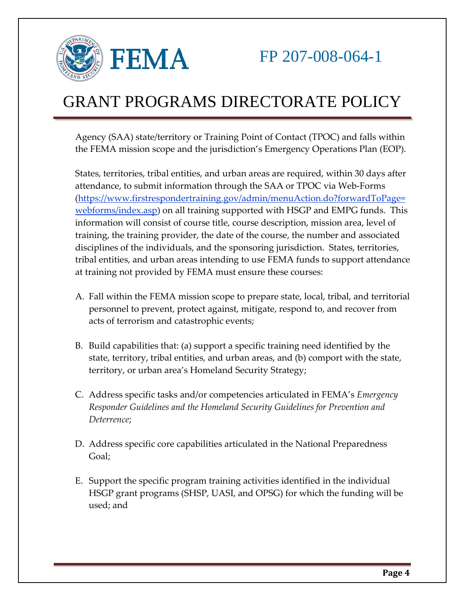

Agency (SAA) state/territory or Training Point of Contact (TPOC) and falls within the FEMA mission scope and the jurisdiction's Emergency Operations Plan (EOP).

States, territories, tribal entities, and urban areas are required, within 30 days after attendance, to submit information through the SAA or TPOC via Web-Forms [\(https://www.firstrespondertraining.gov/admin/menuAction.do?forwardToPage=](https://www.firstrespondertraining.gov/admin/menuAction.do?forwardToPage=webforms/index.asp) [webforms/index.asp\)](https://www.firstrespondertraining.gov/admin/menuAction.do?forwardToPage=webforms/index.asp) on all training supported with HSGP and EMPG funds. This information will consist of course title, course description, mission area, level of training, the training provider, the date of the course, the number and associated disciplines of the individuals, and the sponsoring jurisdiction. States, territories, tribal entities, and urban areas intending to use FEMA funds to support attendance at training not provided by FEMA must ensure these courses:

- A. Fall within the FEMA mission scope to prepare state, local, tribal, and territorial personnel to prevent, protect against, mitigate, respond to, and recover from acts of terrorism and catastrophic events;
- B. Build capabilities that: (a) support a specific training need identified by the state, territory, tribal entities, and urban areas, and (b) comport with the state, territory, or urban area's Homeland Security Strategy;
- C. Address specific tasks and/or competencies articulated in FEMA's *Emergency Responder Guidelines and the Homeland Security Guidelines for Prevention and Deterrence*;
- D. Address specific core capabilities articulated in the National Preparedness Goal;
- E. Support the specific program training activities identified in the individual HSGP grant programs (SHSP, UASI, and OPSG) for which the funding will be used; and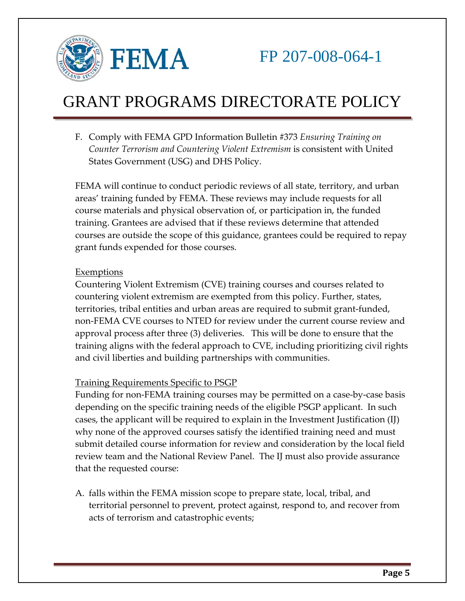

F. Comply with FEMA GPD Information Bulletin #373 *Ensuring Training on Counter Terrorism and Countering Violent Extremism* is consistent with United States Government (USG) and DHS Policy.

FEMA will continue to conduct periodic reviews of all state, territory, and urban areas' training funded by FEMA. These reviews may include requests for all course materials and physical observation of, or participation in, the funded training. Grantees are advised that if these reviews determine that attended courses are outside the scope of this guidance, grantees could be required to repay grant funds expended for those courses.

#### Exemptions

Countering Violent Extremism (CVE) training courses and courses related to countering violent extremism are exempted from this policy. Further, states, territories, tribal entities and urban areas are required to submit grant-funded, non-FEMA CVE courses to NTED for review under the current course review and approval process after three (3) deliveries. This will be done to ensure that the training aligns with the federal approach to CVE, including prioritizing civil rights and civil liberties and building partnerships with communities.

### Training Requirements Specific to PSGP

Funding for non-FEMA training courses may be permitted on a case-by-case basis depending on the specific training needs of the eligible PSGP applicant. In such cases, the applicant will be required to explain in the Investment Justification (IJ) why none of the approved courses satisfy the identified training need and must submit detailed course information for review and consideration by the local field review team and the National Review Panel. The IJ must also provide assurance that the requested course:

A. falls within the FEMA mission scope to prepare state, local, tribal, and territorial personnel to prevent, protect against, respond to, and recover from acts of terrorism and catastrophic events;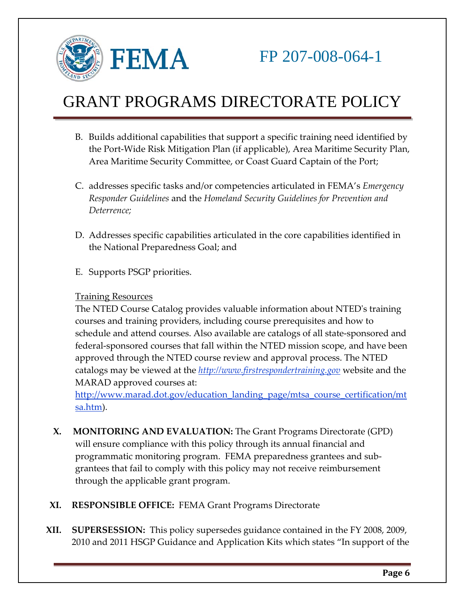

- B. Builds additional capabilities that support a specific training need identified by the Port-Wide Risk Mitigation Plan (if applicable), Area Maritime Security Plan, Area Maritime Security Committee, or Coast Guard Captain of the Port;
- C. addresses specific tasks and/or competencies articulated in FEMA's *Emergency Responder Guidelines* and the *Homeland Security Guidelines for Prevention and Deterrence;*
- D. Addresses specific capabilities articulated in the core capabilities identified in the National Preparedness Goal; and
- E. Supports PSGP priorities.

### Training Resources

The NTED Course Catalog provides valuable information about NTED's training courses and training providers, including course prerequisites and how to schedule and attend courses. Also available are catalogs of all state-sponsored and federal-sponsored courses that fall within the NTED mission scope, and have been approved through the NTED course review and approval process. The NTED catalogs may be viewed at the *[http://www.firstrespondertraining.gov](http://www.firstrespondertraining.gov/)* website and the MARAD approved courses at:

[http://www.marad.dot.gov/education\\_landing\\_page/mtsa\\_course\\_certification/mt](http://www.marad.dot.gov/education_landing_page/mtsa_course_certification/mtsa.htm) [sa.htm\)](http://www.marad.dot.gov/education_landing_page/mtsa_course_certification/mtsa.htm).

- **X. MONITORING AND EVALUATION:** The Grant Programs Directorate (GPD) will ensure compliance with this policy through its annual financial and programmatic monitoring program. FEMA preparedness grantees and subgrantees that fail to comply with this policy may not receive reimbursement through the applicable grant program.
- **XI. RESPONSIBLE OFFICE:** FEMA Grant Programs Directorate
- **XII. SUPERSESSION:** This policy supersedes guidance contained in the FY 2008, 2009, 2010 and 2011 HSGP Guidance and Application Kits which states "In support of the